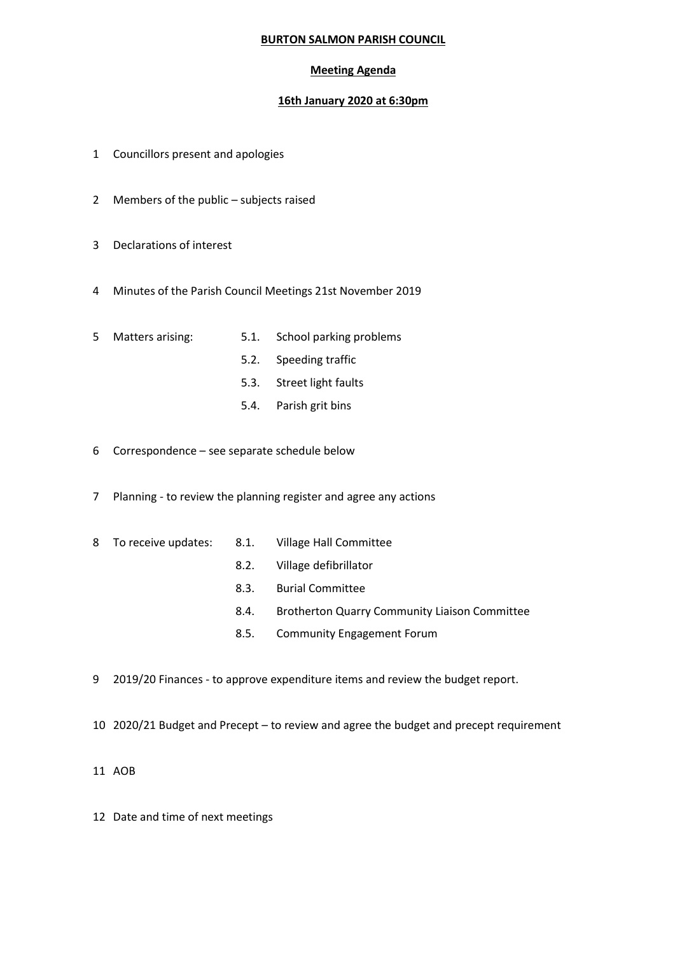## **BURTON SALMON PARISH COUNCIL**

## **Meeting Agenda**

## **16th January 2020 at 6:30pm**

- 1 Councillors present and apologies
- 2 Members of the public subjects raised
- 3 Declarations of interest
- 4 Minutes of the Parish Council Meetings 21st November 2019
- 
- 5 Matters arising: 5.1. School parking problems
	- 5.2. Speeding traffic
	- 5.3. Street light faults
	- 5.4. Parish grit bins
- 6 Correspondence see separate schedule below
- 7 Planning to review the planning register and agree any actions
- 8 To receive updates: 8.1. Village Hall Committee
	-
	- 8.2. Village defibrillator
	- 8.3. Burial Committee
	- 8.4. Brotherton Quarry Community Liaison Committee
	- 8.5. Community Engagement Forum
- 9 2019/20 Finances to approve expenditure items and review the budget report.
- 10 2020/21 Budget and Precept to review and agree the budget and precept requirement
- 11 AOB
- 12 Date and time of next meetings